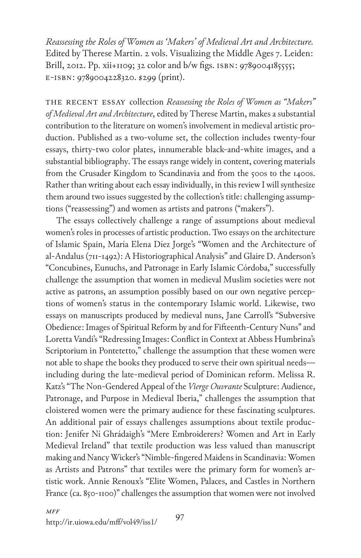*Reassessing the Roles of Women as 'Makers' of Medieval Art and Architecture.* Edited by Therese Martin. 2 vols. Visualizing the Middle Ages 7. Leiden: Brill, 2012. Pp. xii+1109; 32 color and b/w figs. isbn: 9789004185555; e-isbn: 9789004228320. \$299 (print).

The recent essay collection *Reassessing the Roles of Women as "Makers" of Medieval Art and Architecture*, edited by Therese Martin, makes a substantial contribution to the literature on women's involvement in medieval artistic production. Published as a two-volume set, the collection includes twenty-four essays, thirty-two color plates, innumerable black-and-white images, and a substantial bibliography. The essays range widely in content, covering materials from the Crusader Kingdom to Scandinavia and from the 500s to the 1400s. Rather than writing about each essay individually, in this review I will synthesize them around two issues suggested by the collection's title: challenging assumptions ("reassessing") and women as artists and patrons ("makers").

The essays collectively challenge a range of assumptions about medieval women's roles in processes of artistic production. Two essays on the architecture of Islamic Spain, María Elena Díez Jorge's "Women and the Architecture of al-Andalus (711-1492): A Historiographical Analysis" and Glaire D. Anderson's "Concubines, Eunuchs, and Patronage in Early Islamic Córdoba," successfully challenge the assumption that women in medieval Muslim societies were not active as patrons, an assumption possibly based on our own negative perceptions of women's status in the contemporary Islamic world. Likewise, two essays on manuscripts produced by medieval nuns, Jane Carroll's "Subversive Obedience: Images of Spiritual Reform by and for Fifteenth-Century Nuns" and Loretta Vandi's "Redressing Images: Conflict in Context at Abbess Humbrina's Scriptorium in Pontetetto," challenge the assumption that these women were not able to shape the books they produced to serve their own spiritual needs including during the late-medieval period of Dominican reform. Melissa R. Katz's "The Non-Gendered Appeal of the *Vierge Ouvrante* Sculpture: Audience, Patronage, and Purpose in Medieval Iberia," challenges the assumption that cloistered women were the primary audience for these fascinating sculptures. An additional pair of essays challenges assumptions about textile production: Jenifer Ní Ghrádaigh's "Mere Embroiderers? Women and Art in Early Medieval Ireland" that textile production was less valued than manuscript making and Nancy Wicker's "Nimble-fingered Maidens in Scandinavia: Women as Artists and Patrons" that textiles were the primary form for women's artistic work. Annie Renoux's "Elite Women, Palaces, and Castles in Northern France (ca. 850-1100)" challenges the assumption that women were not involved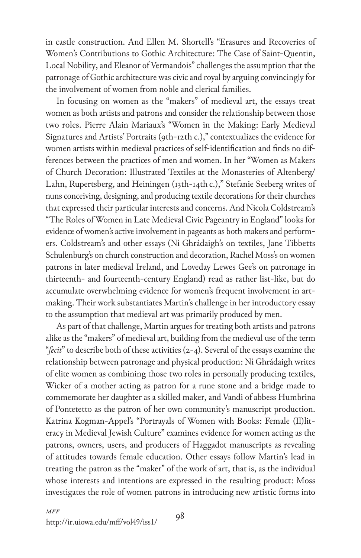in castle construction. And Ellen M. Shortell's "Erasures and Recoveries of Women's Contributions to Gothic Architecture: The Case of Saint-Quentin, Local Nobility, and Eleanor of Vermandois" challenges the assumption that the patronage of Gothic architecture was civic and royal by arguing convincingly for the involvement of women from noble and clerical families.

In focusing on women as the "makers" of medieval art, the essays treat women as both artists and patrons and consider the relationship between those two roles. Pierre Alain Mariaux's "Women in the Making: Early Medieval Signatures and Artists' Portraits (9th-12th c.)," contextualizes the evidence for women artists within medieval practices of self-identification and finds no differences between the practices of men and women. In her "Women as Makers of Church Decoration: Illustrated Textiles at the Monasteries of Altenberg/ Lahn, Rupertsberg, and Heiningen (13th-14th c.)," Stefanie Seeberg writes of nuns conceiving, designing, and producing textile decorations for their churches that expressed their particular interests and concerns. And Nicola Coldstream's "The Roles of Women in Late Medieval Civic Pageantry in England" looks for evidence of women's active involvement in pageants as both makers and performers. Coldstream's and other essays (Ní Ghrádaigh's on textiles, Jane Tibbetts Schulenburg's on church construction and decoration, Rachel Moss's on women patrons in later medieval Ireland, and Loveday Lewes Gee's on patronage in thirteenth- and fourteenth-century England) read as rather list-like, but do accumulate overwhelming evidence for women's frequent involvement in artmaking. Their work substantiates Martin's challenge in her introductory essay to the assumption that medieval art was primarily produced by men.

As part of that challenge, Martin argues for treating both artists and patrons alike as the "makers" of medieval art, building from the medieval use of the term "*fecit*" to describe both of these activities (2-4). Several of the essays examine the relationship between patronage and physical production: Ní Ghrádaigh writes of elite women as combining those two roles in personally producing textiles, Wicker of a mother acting as patron for a rune stone and a bridge made to commemorate her daughter as a skilled maker, and Vandi of abbess Humbrina of Pontetetto as the patron of her own community's manuscript production. Katrina Kogman-Appel's "Portrayals of Women with Books: Female (Il)literacy in Medieval Jewish Culture" examines evidence for women acting as the patrons, owners, users, and producers of Haggadot manuscripts as revealing of attitudes towards female education. Other essays follow Martin's lead in treating the patron as the "maker" of the work of art, that is, as the individual whose interests and intentions are expressed in the resulting product: Moss investigates the role of women patrons in introducing new artistic forms into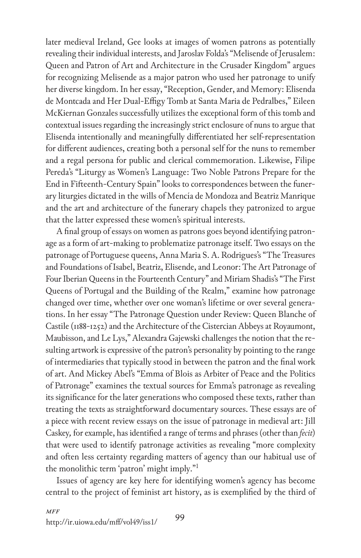later medieval Ireland, Gee looks at images of women patrons as potentially revealing their individual interests, and Jaroslav Folda's "Melisende of Jerusalem: Queen and Patron of Art and Architecture in the Crusader Kingdom" argues for recognizing Melisende as a major patron who used her patronage to unify her diverse kingdom. In her essay, "Reception, Gender, and Memory: Elisenda de Montcada and Her Dual-Effigy Tomb at Santa Maria de Pedralbes," Eileen McKiernan Gonzales successfully utilizes the exceptional form of this tomb and contextual issues regarding the increasingly strict enclosure of nuns to argue that Elisenda intentionally and meaningfully differentiated her self-representation for different audiences, creating both a personal self for the nuns to remember and a regal persona for public and clerical commemoration. Likewise, Filipe Pereda's "Liturgy as Women's Language: Two Noble Patrons Prepare for the End in Fifteenth-Century Spain" looks to correspondences between the funerary liturgies dictated in the wills of Mencía de Mondoza and Beatriz Manrique and the art and architecture of the funerary chapels they patronized to argue that the latter expressed these women's spiritual interests.

A final group of essays on women as patrons goes beyond identifying patronage as a form of art-making to problematize patronage itself. Two essays on the patronage of Portuguese queens, Anna Maria S. A. Rodrigues's "The Treasures and Foundations of Isabel, Beatriz, Elisende, and Leonor: The Art Patronage of Four Iberian Queens in the Fourteenth Century" and Miriam Shadis's "The First Queens of Portugal and the Building of the Realm," examine how patronage changed over time, whether over one woman's lifetime or over several generations. In her essay "The Patronage Question under Review: Queen Blanche of Castile (1188-1252) and the Architecture of the Cistercian Abbeys at Royaumont, Maubisson, and Le Lys," Alexandra Gajewski challenges the notion that the resulting artwork is expressive of the patron's personality by pointing to the range of intermediaries that typically stood in between the patron and the final work of art. And Mickey Abel's "Emma of Blois as Arbiter of Peace and the Politics of Patronage" examines the textual sources for Emma's patronage as revealing its significance for the later generations who composed these texts, rather than treating the texts as straightforward documentary sources. These essays are of a piece with recent review essays on the issue of patronage in medieval art: Jill Caskey*,* for example, has identified a range of terms and phrases (other than *fecit*) that were used to identify patronage activities as revealing "more complexity and often less certainty regarding matters of agency than our habitual use of the monolithic term 'patron' might imply."1

Issues of agency are key here for identifying women's agency has become central to the project of feminist art history, as is exemplified by the third of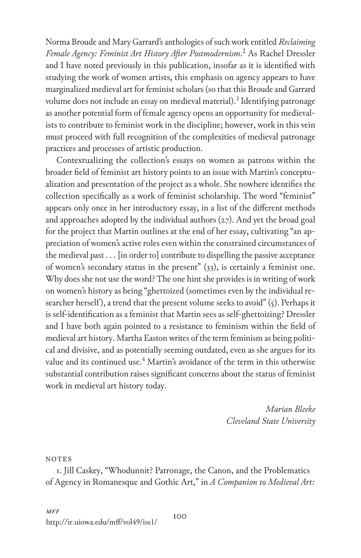Norma Broude and Mary Garrard's anthologies of such work entitled *Reclaiming Female Agency: Feminist Art History After Postmodernism*. 2 As Rachel Dressler and I have noted previously in this publication, insofar as it is identified with studying the work of women artists, this emphasis on agency appears to have marginalized medieval art for feminist scholars (so that this Broude and Garrard volume does not include an essay on medieval material).<sup>3</sup> Identifying patronage as another potential form of female agency opens an opportunity for medievalists to contribute to feminist work in the discipline; however, work in this vein must proceed with full recognition of the complexities of medieval patronage practices and processes of artistic production.

Contextualizing the collection's essays on women as patrons within the broader field of feminist art history points to an issue with Martin's conceptualization and presentation of the project as a whole. She nowhere identifies the collection specifically as a work of feminist scholarship. The word "feminist" appears only once in her introductory essay, in a list of the different methods and approaches adopted by the individual authors (27). And yet the broad goal for the project that Martin outlines at the end of her essay, cultivating "an appreciation of women's active roles even within the constrained circumstances of the medieval past  $\dots$  [in order to] contribute to dispelling the passive acceptance of women's secondary status in the present" (33), is certainly a feminist one. Why does she not use the word? The one hint she provides is in writing of work on women's history as being "ghettoized (sometimes even by the individual researcher herself), a trend that the present volume seeks to avoid" (5). Perhaps it is self-identification as a feminist that Martin sees as self-ghettoizing? Dressler and I have both again pointed to a resistance to feminism within the field of medieval art history. Martha Easton writes of the term feminism as being political and divisive, and as potentially seeming outdated, even as she argues for its value and its continued use. $\rm ^4$  Martin's avoidance of the term in this otherwise substantial contribution raises significant concerns about the status of feminist work in medieval art history today.

> *Marian Bleeke Cleveland State University*

**NOTES** 

1. Jill Caskey, "Whodunnit? Patronage, the Canon, and the Problematics of Agency in Romanesque and Gothic Art," in *A Companion to Medieval Art:*